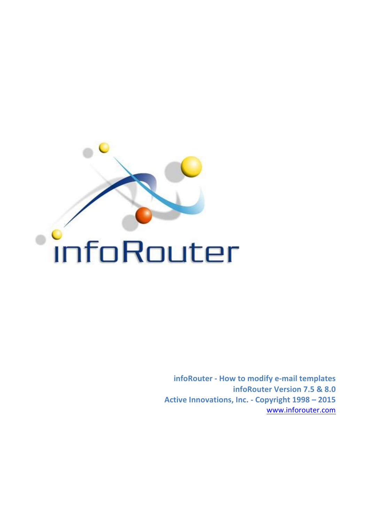

**infoRouter - How to modify e-mail templates infoRouter Version 7.5 & 8.0** Active Innovations, Inc. - Copyright  $1998 - 2015$ www.inforouter.com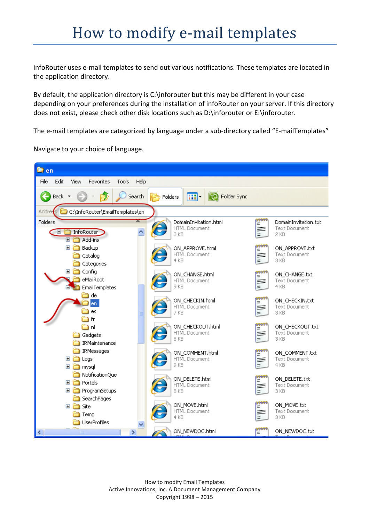infoRouter uses e-mail templates to send out various notifications. These templates are located in the application directory.

By default, the application directory is  $C:\infty$  for outer but this may be different in your case depending on your preferences during the installation of infoRouter on your server. If this directory does not exist, please check other disk locations such as D:\inforouter or E:\inforouter.

The e-mail templates are categorized by language under a sub-directory called "E-mailTemplates"

Navigate to your choice of language.

| <b>Det</b> en                                      |                                                     |                |                                        |
|----------------------------------------------------|-----------------------------------------------------|----------------|----------------------------------------|
| Edit<br>File<br>Tools<br>View<br>Favorites<br>Help |                                                     |                |                                        |
| Back *<br>Search                                   | $\overline{\mathbf{m}}$ .<br>Folder Sync<br>Folders |                |                                        |
| C:\InfoRouter\EmailTemplates\en<br>Address         |                                                     |                |                                        |
| Folders                                            | DomainInvitation.html                               | 99999<br> =    | DomainInvitation.txt                   |
| InfoRouter<br>$\blacksquare$                       | <b>HTML Document</b><br>3 KB                        | ≡<br>$=$       | <b>Text Document</b><br>2 KB           |
| Add-ins<br>$\boxdot$                               |                                                     |                |                                        |
| $\mathbf \mathbf \Xi$<br>Backup                    | ON_APPROVE.html<br><b>HTML Document</b>             | 9999<br>=<br>≡ | ON_APPROVE.txt<br><b>Text Document</b> |
| Catalog<br>Categories                              | 4 KB                                                |                | 3 KB                                   |
| $\boxdot$<br>Config                                |                                                     |                |                                        |
| eMailRoot                                          | ON_CHANGE.html<br>HTML Document                     | Ξ<br>≡         | ON_CHANGE.txt<br><b>Text Document</b>  |
| EmailTemplates                                     | 9 KB                                                |                | 4 KB                                   |
| de                                                 | ON_CHECKIN.html                                     |                | ON_CHECKIN.txt                         |
| en                                                 | <b>HTML Document</b>                                | Ξ<br>F         | <b>Text Document</b>                   |
| es                                                 | 7 KB                                                |                | 3 KB                                   |
| fr<br>اn ر                                         | ON_CHECKOUT.html                                    | 99991<br>=     | ON_CHECKOUT.txt                        |
| Gadgets                                            | <b>HTML Document</b>                                | ≡              | <b>Text Document</b>                   |
| IRMaintenance                                      | 8 KB                                                | Ξ              | 3 KB                                   |
| IRMessages                                         | ON_COMMENT.html                                     |                | ON_COMMENT.txt                         |
| $\mathbf \Xi$<br>Logs                              | HTML Document                                       | Ξ<br>≡         | <b>Text Document</b>                   |
| $\blacksquare$<br>mysql                            | 9 KB                                                | ÷              | 4 KB                                   |
| NotificationQue                                    | ON_DELETE.html                                      |                | ON_DELETE.txt                          |
| Portals<br>$\mathbf \Xi$                           | HTML Document                                       | Ξ<br>≡         | <b>Text Document</b>                   |
| $\blacksquare$<br>ProgramSetups                    | 8 KB                                                |                | 3 KB                                   |
| SearchPages<br>$\blacksquare$<br>Site              | ON_MOVE.html                                        | 9999<br>=      | ON_MOVE.txt                            |
| Temp                                               | <b>HTML Document</b>                                | ≡              | <b>Text Document</b>                   |
| UserProfiles                                       | 4 KB                                                |                | 3 KB                                   |
| ×<br>K<br><b>IIII</b>                              | ON_NEWDOC.html                                      | <del>222</del> | ON_NEWDOC.txt                          |